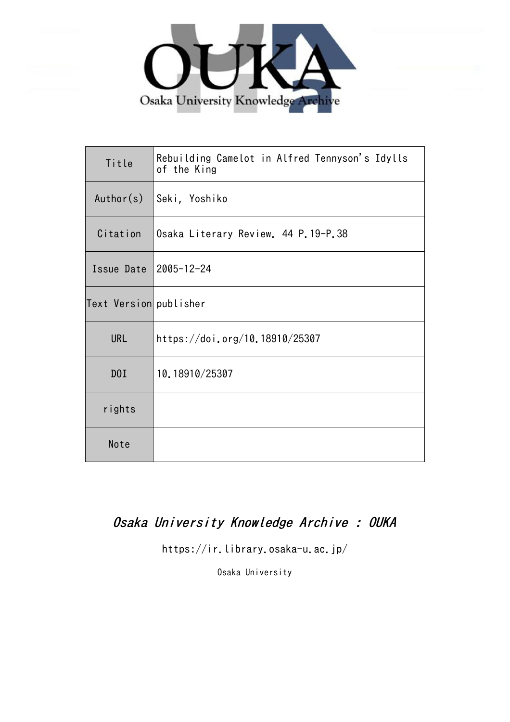

| Title                  | Rebuilding Camelot in Alfred Tennyson's Idylls<br>of the King |
|------------------------|---------------------------------------------------------------|
| Author(s)              | Seki, Yoshiko                                                 |
| Citation               | Osaka Literary Review. 44 P.19-P.38                           |
| Issue Date             | 2005-12-24                                                    |
| Text Version publisher |                                                               |
| <b>URL</b>             | https://doi.org/10.18910/25307                                |
| DOI                    | 10.18910/25307                                                |
| rights                 |                                                               |
| Note                   |                                                               |

# Osaka University Knowledge Archive : OUKA

https://ir.library.osaka-u.ac.jp/

Osaka University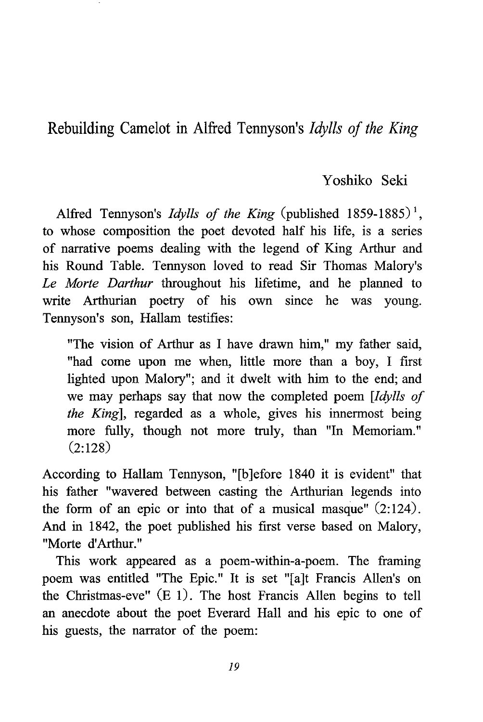Rebuilding Camelot in Alfred Tennyson's Idylls of the King

## Yoshiko Seki

Alfred Tennyson's *Idylls of the King* (published 1859-1885)<sup>1</sup>. to whose composition the poet devoted half his life, is a series of narrative poems dealing with the legend of King Arthur and his Round Table. Tennyson loved to read Sir Thomas Malory's Le Morte Darthur throughout his lifetime, and he planned to write Arthurian poetry of his own since he was young. Tennyson's son, Hallam testifies:

"The vision of Arthur as I have drawn him," my father said, "had come upon me when, little more than a boy, I first lighted upon Malory"; and it dwelt with him to the end; and we may perhaps say that now the completed poem [Idylls of the King], regarded as a whole, gives his innermost being more fully, though not more truly, than "In Memoriam." (2:128)

According to Hallam Tennyson, "[b]efore 1840 it is evident" that his father "wavered between casting the Arthurian legends into the form of an epic or into that of a musical masque"  $(2:124)$ . And in 1842, the poet published his first verse based on Malory, "Morte d'Arthur."

This work appeared as a poem-within-a-poem. The framing poem was entitled "The Epic." It is set "[a]t Francis Allen's on the Christmas-eve" (E 1). The host Francis Allen begins to tell an anecdote about the poet Everard Hall and his epic to one of his guests, the narrator of the poem: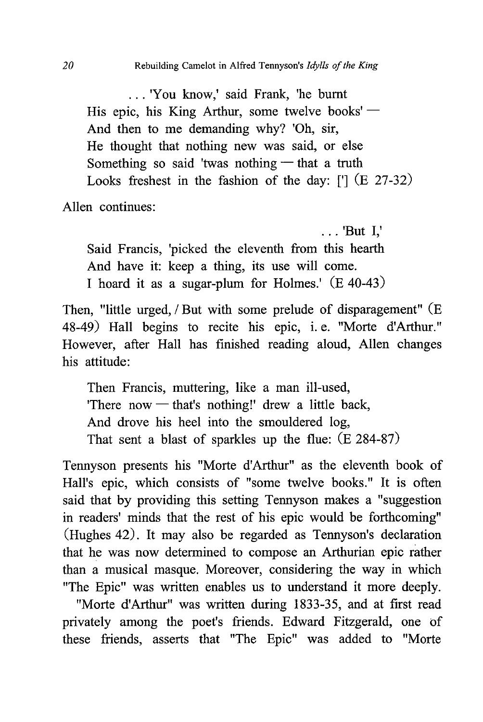. . . 'You know,' said Frank, 'he burnt His epic, his King Arthur, some twelve books' — And then to me demanding why? 'Oh, sir, He thought that nothing new was said, or else Something so said 'twas nothing — that a truth Looks freshest in the fashion of the day: ['] (E 27-32)

Allen continues:

 . . . 'But I,' Said Francis, 'picked the eleventh from this hearth And have it: keep a thing, its use will come. I hoard it as a sugar-plum for Holmes.' (E 40-43)

Then, "little urged, / But with some prelude of disparagement" (E 48-49) Hall begins to recite his epic, i. e. "Morte d'Arthur." However, after Hall has finished reading aloud, Allen changes his attitude:

 Then Francis, muttering, like a man ill-used, 'There now — that's nothing!' drew a little back , And drove his heel into the smouldered log, That sent a blast of sparkles up the flue: (E 284-87)

Tennyson presents his "Morte d'Arthur" as the eleventh book of Hall's epic, which consists of "some twelve books." It is often said that by providing this setting Tennyson makes a "suggestion in readers' minds that the rest of his epic would be forthcoming" (Hughes 42). It may also be regarded as Tennyson's declaration that he was now determined to compose an Arthurian epic rather than a musical masque. Moreover, considering the way in which "The Epic" was written enables us to understand it more deeply.

"Morte d'Arthur" was written during 1833-35, and at first read privately among the poet's friends. Edward Fitzgerald, one of these friends, asserts that "The Epic" was added to "Morte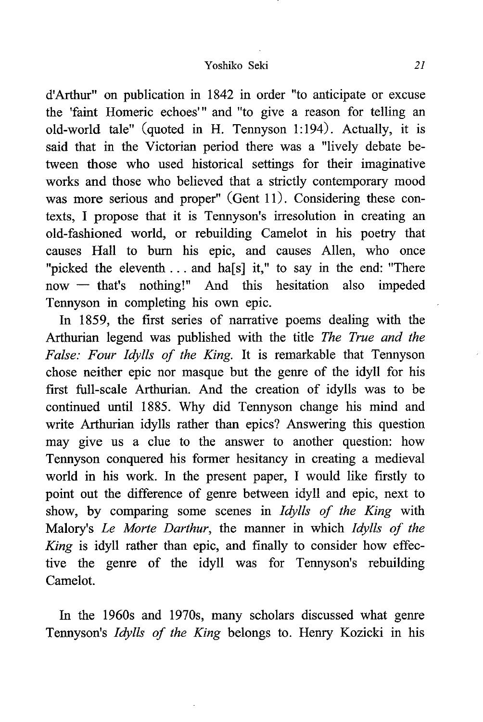### Yoshiko Seki 21

d'Arthur" on publication in 1842 in order "to anticipate or excuse the 'faint Homeric echoes" and "to give a reason for telling an old-world tale" (quoted in H. Tennyson 1:194). Actually, it is said that in the Victorian period there was a "lively debate between those who used historical settings for their imaginative works and those who believed that a strictly contemporary mood was more serious and proper" (Gent 11). Considering these contexts, I propose that it is Tennyson's irresolution in creating an old-fashioned world, or rebuilding Camelot in his poetry that causes Hall to burn his epic, and causes Allen, who once "picked the eleventh ... and ha[s] it," to say in the end: "There now — that's nothing!" And this hesitation also impeded Tennyson in completing his own epic.

In 1859, the first series of narrative poems dealing with the Arthurian legend was published with the title The True and the False: Four Idylls of the King. It is remarkable that Tennyson chose neither epic nor masque but the genre of the idyll for his first full-scale Arthurian. And the creation of idylls was to be continued until 1885. Why did Tennyson change his mind and write Arthurian idylls rather than epics? Answering this question may give us a clue to the answer to another question: how Tennyson conquered his former hesitancy in creating a medieval world in his work. In the present paper, I would like firstly to point out the difference of genre between idyll and epic, next to show, by comparing some scenes in Idylls of the King with Malory's Le Morte Darthur, the manner in which Idylls of the King is idyll rather than epic, and finally to consider how effective the genre of the idyll was for Tennyson's rebuilding Camelot.

In the 1960s and 1970s, many scholars discussed what genre Tennyson's Idylls of the King belongs to. Henry Kozicki in his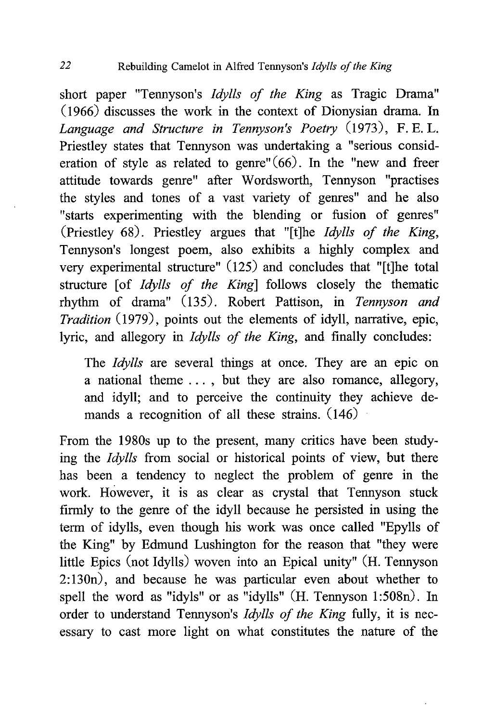short paper "Tennyson's *Idylls of the King* as Tragic Drama" (1966) discusses the work in the context of Dionysian drama. In Language and Structure in Tennyson's Poetry (1973), F. E. L. Priestley states that Tennyson was undertaking a "serious consideration of style as related to genre" $(66)$ . In the "new and freer attitude towards genre" after Wordsworth, Tennyson "practises the styles and tones of a vast variety of genres" and he also "starts experimenting with the blending or fusion of genres" (Priestley 68). Priestley argues that "[t]he Idylls of the King, Tennyson's longest poem, also exhibits a highly complex and very experimental structure" (125) and concludes that "[t]he total structure [of *Idylls of the King*] follows closely the thematic rhythm of drama" (135). Robert Pattison, in Tennyson and Tradition (1979), points out the elements of idyll, narrative, epic, lyric, and allegory in Idylls of the King, and finally concludes:

The *Idylls* are several things at once. They are an epic on a national theme . . . , but they are also romance, allegory, and idyll; and to perceive the continuity they achieve demands a recognition of all these strains. (146)

From the 1980s up to the present, many critics have been studying the Idylls from social or historical points of view, but there has been a tendency to neglect the problem of genre in the work. However, it is as clear as crystal that Tennyson stuck firmly to the genre of the idyll because he persisted in using the term of idylls, even though his work was once called "Epylls of the King" by Edmund Lushington for the reason that "they were little Epics (not Idylls) woven into an Epical unity" (H. Tennyson 2:130n), and because he was particular even about whether to spell the word as "idyls" or as "idylls" (H. Tennyson 1:508n). In order to understand Tennyson's *Idylls of the King fully*, it is necessary to cast more light on what constitutes the nature of the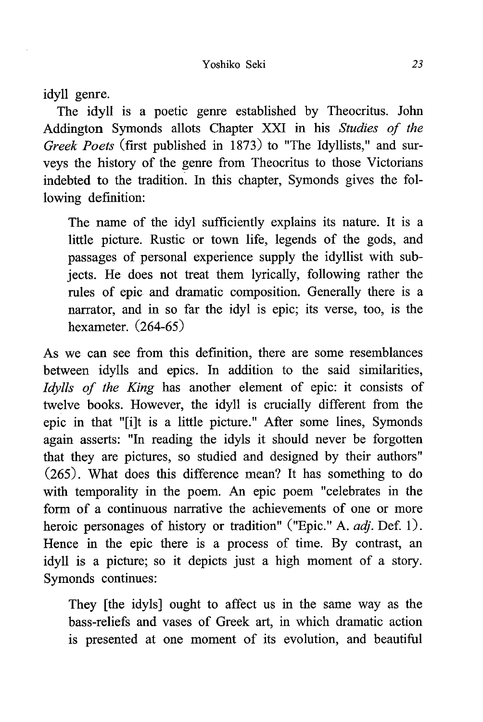idyll genre.

The idyll is a poetic genre established by Theocritus. John Addington Symonds allots Chapter XXI in his Studies of the Greek Poets (first published in 1873) to "The Idyllists," and surveys the history of the genre from Theocritus to those Victorians indebted to the tradition. In this chapter, Symonds gives the following definition:

The name of the idyl sufficiently explains its nature. It is a little picture. Rustic or town life, legends of the gods, and passages of personal experience supply the idyllist with subjects. He does not treat them lyrically, following rather the rules of epic and dramatic composition. Generally there is a narrator, and in so far the idyl is epic; its verse, too, is the hexameter. (264-65)

As we can see from this definition, there are some resemblances between idylls and epics. In addition to the said similarities, Idylls of the King has another element of epic: it consists of twelve books. However, the idyll is crucially different from the epic in that "[i]t is a little picture." After some lines, Symonds again asserts: "In reading the idyls it should never be forgotten that they are pictures, so studied and designed by their authors" (265). What does this difference mean? It has something to do with temporality in the poem. An epic poem "celebrates in the form of a continuous narrative the achievements of one or more heroic personages of history or tradition" ("Epic." A. *adj*. Def. 1). Hence in the epic there is a process of time. By contrast, an idyll is a picture; so it depicts just a high moment of a story. Symonds continues:

They [the idyls] ought to affect us in the same way as the bass-reliefs and vases of Greek art, in which dramatic action is presented at one moment of its evolution, and beautiful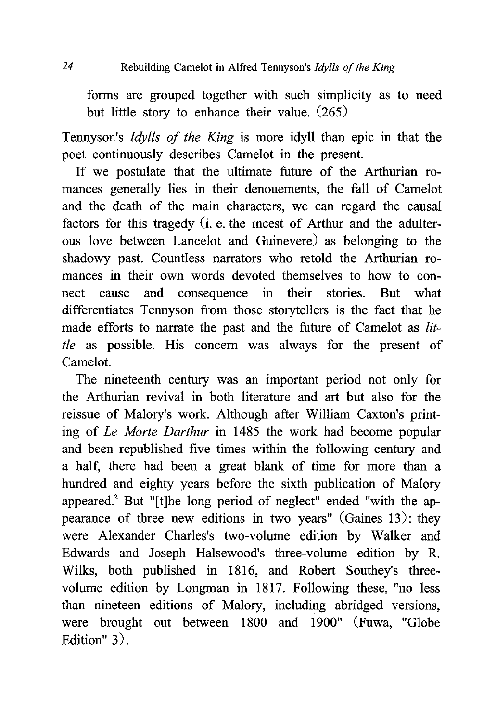## 24 Rebuilding Camelot in Alfred Tennyson's Idylls of the King

forms are grouped together with such simplicity as to need but little story to enhance their value. (265)

Tennyson's Idylls of the King is more idyll than epic in that the poet continuously describes Camelot in the present.

If we postulate that the ultimate future of the Arthurian romances generally lies in their denouements, the fall of Camelot and the death of the main characters, we can regard the causal factors for this tragedy (i. e. the incest of Arthur and the adulterous love between Lancelot and Guinevere) as belonging to the shadowy past. Countless narrators who retold the Arthurian romances in their own words devoted themselves to how to connect cause and consequence in their stories. But what differentiates Tennyson from those storytellers is the fact that he made efforts to narrate the past and the future of Camelot as little as possible. His concern was always for the present of Camelot.

The nineteenth century was an important period not only for the Arthurian revival in both literature and art but also for the reissue of Malory's work. Although after William Caxton's printing of Le Morte Darthur in 1485 the work had become popular and been republished five times within the following century and a half, there had been a great blank of time for more than a hundred and eighty years before the sixth publication of Malory appeared.' But "[t]he long period of neglect" ended "with the appearance of three new editions in two years" (Gaines 13): they were Alexander Charles's two-volume edition by Walker and Edwards and Joseph Halsewood's three-volume edition by R. Wilks, both published in 1816, and Robert Southey's threevolume edition by Longman in 1817. Following these, "no less than nineteen editions of Malory, including abridged versions, were brought out between 1800 and 1900" (Fuwa, "Globe Edition" 3).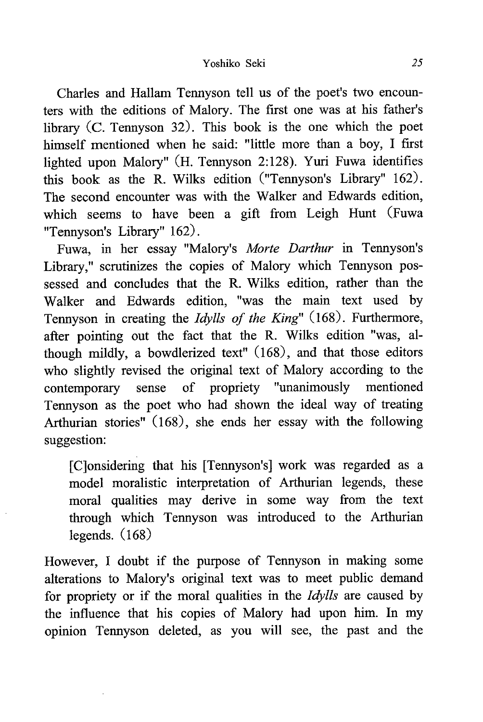Charles and Hallam Tennyson tell us of the poet's two encounters with the editions of Malory. The first one was at his father's library (C. Tennyson 32). This book is the one which the poet himself mentioned when he said: "little more than a boy, I first lighted upon Malory" (H. Tennyson 2:128). Yuri Fuwa identifies this book as the R. Wilks edition ("Tennyson's Library" 162). The second encounter was with the Walker and Edwards edition, which seems to have been a gift from Leigh Hunt (Fuwa "Tennyson's Library" 162) .

Fuwa, in her essay "Malory's Morte Darthur in Tennyson's Library," scrutinizes the copies of Malory which Tennyson possessed and concludes that the R. Wilks edition, rather than the Walker and Edwards edition, "was the main text used by Tennyson in creating the Idylls of the King" (168). Furthermore, after pointing out the fact that the R. Wilks edition "was, although mildly, a bowdlerized text" (168), and that those editors who slightly revised the original text of Malory according to the contemporary sense of propriety "unanimously mentioned Tennyson as the poet who had shown the ideal way of treating Arthurian stories" (168), she ends her essay with the following suggestion:

 [C]onsidering that his [Tennyson's] work was regarded as a model moralistic interpretation of Arthurian legends, these moral qualities may derive in some way from the text through which Tennyson was introduced to the Arthurian legends. (168)

However, I doubt if the purpose of Tennyson in making some alterations to Malory's original text was to meet public demand for propriety or if the moral qualities in the Idylls are caused by the influence that his copies of Malory had upon him. In my opinion Tennyson deleted, as you will see, the past and the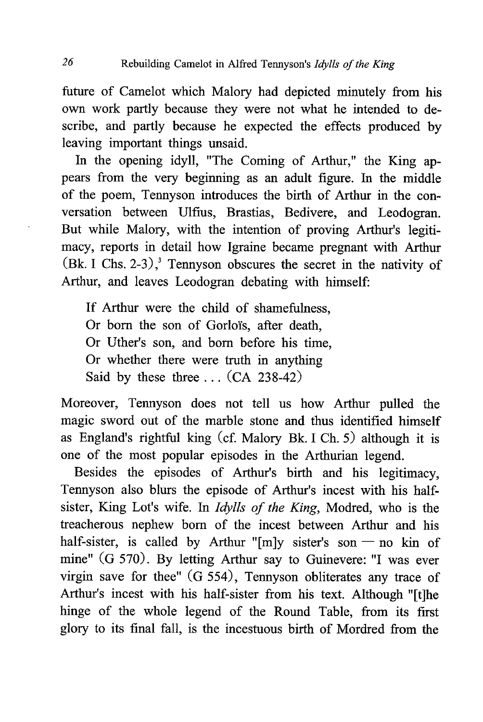future of Camelot which Malory had depicted minutely from his own work partly because they were not what he intended to describe, and partly because he expected the effects produced by leaving important things unsaid.

In the opening idyll, "The Coming of Arthur," the King appears from the very beginning as an adult figure. In the middle of the poem, Tennyson introduces the birth of Arthur in the conversation between Ulfius, Brastias, Bedivere, and Leodogran. But while Malory, with the intention of proving Arthur's legitimacy, reports in detail how Igraine became pregnant with Arthur  $(Bk. I Chs. 2-3)$ ,<sup>3</sup> Tennyson obscures the secret in the nativity of Arthur, and leaves Leodogran debating with himself:

If Arthur were the child of shamefulness, Or born the son of Gorloïs, after death, Or Uther's son, and born before his time, Or whether there were truth in anything Said by these three  $\ldots$  (CA 238-42)

Moreover, Tennyson does not tell us how Arthur pulled the magic sword out of the marble stone and thus identified himself as England's rightful king (cf. Malory Bk. I Ch. 5) although it is one of the most popular episodes in the Arthurian legend.

Besides the episodes of Arthur's birth and his legitimacy, Tennyson also blurs the episode of Arthur's incest with his halfsister, King Lot's wife. In Idylls of the King, Modred, who is the treacherous nephew born of the incest between Arthur and his half-sister, is called by Arthur "[m]y sister's son — no kin of mine" (G 570). By letting Arthur say to Guinevere: "I was ever virgin save for thee" (G 554), Tennyson obliterates any trace of Arthur's incest with his half-sister from his text. Although "[t]he hinge of the whole legend of the Round Table, from its first glory to its final fall, is the incestuous birth of Mordred from the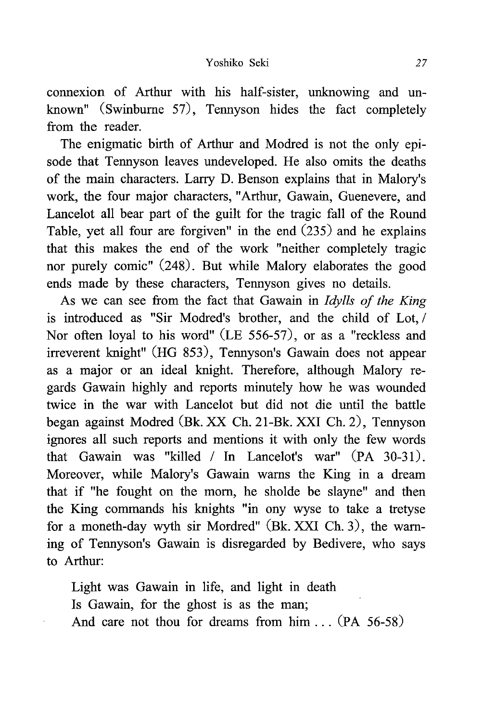connexion of Arthur with his half-sister, unknowing and unknown" (Swinburne 57), Tennyson hides the fact completely from the reader.

The enigmatic birth of Arthur and Modred is not the only episode that Tennyson leaves undeveloped. He also omits the deaths of the main characters. Larry D. Benson explains that in Malory's work, the four major characters, "Arthur, Gawain, Guenevere, and Lancelot all bear part of the guilt for the tragic fall of the Round Table, yet all four are forgiven" in the end (235) and he explains that this makes the end of the work "neither completely tragic nor purely comic" (248). But while Malory elaborates the good ends made by these characters, Tennyson gives no details.

As we can see from the fact that Gawain in *Idylls of the King* is introduced as "Sir Modred's brother, and the child of Lot, / Nor often loyal to his word" (LE 556-57), or as a "reckless and irreverent knight" (HG 853), Tennyson's Gawain does not appear as a major or an ideal knight. Therefore, although Malory regards Gawain highly and reports minutely how he was wounded twice in the war with Lancelot but did not die until the battle began against Modred (Bk. XX Ch. 21-Bk. XXI Ch. 2), Tennyson ignores all such reports and mentions it with only the few words that Gawain was "killed / In Lancelot's war" (PA 30-31). Moreover, while Malory's Gawain warns the King in a dream that if "he fought on the morn, he sholde be slayne" and then the King commands his knights "in ony wyse to take a tretyse for a moneth-day wyth sir Mordred" (Bk. XXI Ch. 3), the warning of Tennyson's Gawain is disregarded by Bedivere, who says to Arthur:

 Light was Gawain in life, and light in death Is Gawain, for the ghost is as the man; And care not thou for dreams from him . . . (PA 56-58)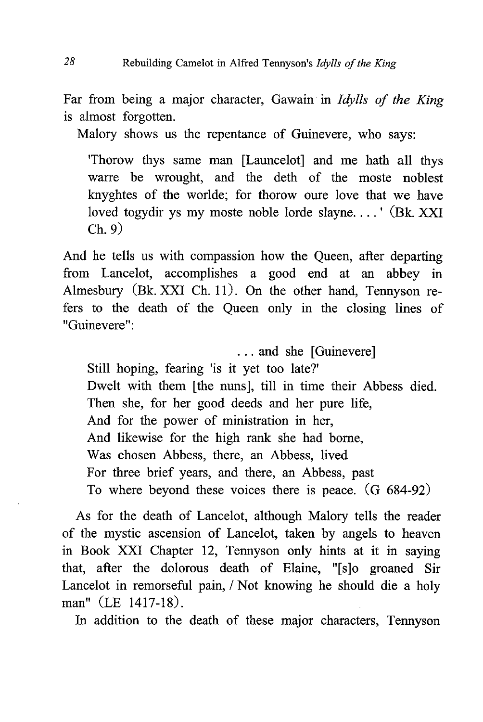Far from being a major character, Gawain in Idylls of the King is almost forgotten.

Malory shows us the repentance of Guinevere, who says:

'Thorow thys same man [Launcelot] and me hath all thys warre be wrought, and the deth of the moste noblest knyghtes of the worlde; for thorow oure love that we have loved togydir ys my moste noble lorde slayne....' (Bk. XXI) Ch. 9)

And he tells us with compassion how the Queen, after departing from Lancelot, accomplishes a good end at an abbey in Almesbury (Bk. XXI Ch. 11). On the other hand, Tennyson refers to the death of the Queen only in the closing lines of "Guinevere":

 . . . and she [Guinevere] Still hoping, fearing 'is it yet too late?' Dwelt with them [the nuns], till in time their Abbess died. Then she, for her good deeds and her pure life, And for the power of ministration in her, And likewise for the high rank she had borne, Was chosen Abbess, there, an Abbess, lived For three brief years, and there, an Abbess, past To where beyond these voices there is peace. (G 684-92)

As for the death of Lancelot, although Malory tells the reader of the mystic ascension of Lancelot, taken by angels to heaven in Book XXI Chapter 12, Tennyson only hints at it in saying that, after the dolorous death of Elaine, "[s]o groaned Sir Lancelot in remorseful pain, / Not knowing he should die a holy man" (LE 1417-18).

In addition to the death of these major characters, Tennyson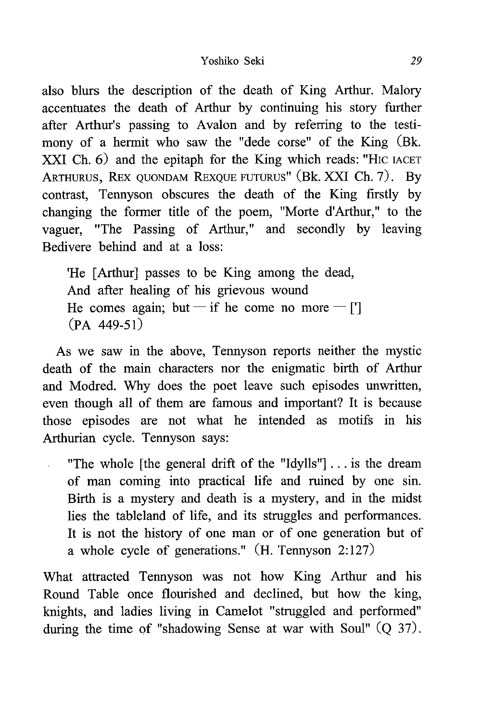also blurs the description of the death of King Arthur. Malory accentuates the death of Arthur by continuing his story further after Arthur's passing to Avalon and by referring to the testimony of a hermit who saw the "dede corse" of the King (Bk. XXI Ch. 6) and the epitaph for the King which reads: "Hic IACET ARTHURUS, REX QUONDAM REXQUE FUTURUS" (Bk. XXI Ch. 7). By contrast, Tennyson obscures the death of the King firstly by changing the former title of the poem, "Morte d'Arthur," to the vaguer, "The Passing of Arthur," and secondly by leaving Bedivere behind and at a loss:

'He [Arthur] passes to be King among the dead , And after healing of his grievous wound He comes again; but — if he come no more — ['] (PA 449-51)

As we saw in the above, Tennyson reports neither the mystic death of the main characters nor the enigmatic birth of Arthur and Modred. Why does the poet leave such episodes unwritten, even though all of them are famous and important? It is because those episodes are not what he intended as motifs in his Arthurian cycle. Tennyson says:

 $\mathbb{R}^{\mathbb{Z}^2}$ 

"The whole [the general drift of the "Idylls"] . . . is the dream of man coming into practical life and ruined by one sin. Birth is a mystery and death is a mystery, and in the midst lies the tableland of life, and its struggles and performances. It is not the history of one man or of one generation but of a whole cycle of generations." (H. Tennyson 2:127)

What attracted Tennyson was not how King Arthur and his Round Table once flourished and declined, but how the king, knights, and ladies living in Camelot "struggled and performed" during the time of "shadowing Sense at war with Soul" (Q 37).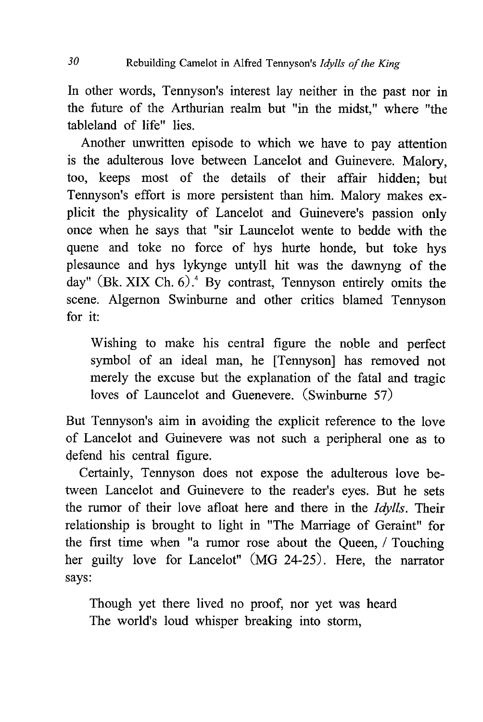In other words, Tennyson's interest lay neither in the past nor in the future of the Arthurian realm but "in the midst," where "the tableland of life" lies.

Another unwritten episode to which we have to pay attention is the adulterous love between Lancelot and Guinevere. Malory, too, keeps most of the details of their affair hidden; but Tennyson's effort is more persistent than him. Malory makes explicit the physicality of Lancelot and Guinevere's passion only once when he says that "sir Launcelot wente to bedde with the quene and toke no force of hys hurte honde, but toke hys plesaunce and hys lykynge untyll hit was the dawnyng of the day" (Bk. XIX Ch.  $6$ ).<sup>4</sup> By contrast, Tennyson entirely omits the scene. Algernon Swinburne and other critics blamed Tennyson for it:

 Wishing to make his central figure the noble and perfect symbol of an ideal man, he [Tennyson] has removed not merely the excuse but the explanation of the fatal and tragic loves of Launcelot and Guenevere. (Swinburne 57)

But Tennyson's aim in avoiding the explicit reference to the love of Lancelot and Guinevere was not such a peripheral one as to defend his central figure.

Certainly, Tennyson does not expose the adulterous love between Lancelot and Guinevere to the reader's eyes. But he sets the rumor of their love afloat here and there in the Idylls. Their relationship is brought to light in "The Marriage of Geraint" for the first time when "a rumor rose about the Queen, / Touching her guilty love for Lancelot" (MG 24-25). Here, the narrator says:

 Though yet there lived no proof, nor yet was heard The world's loud whisper breaking into storm,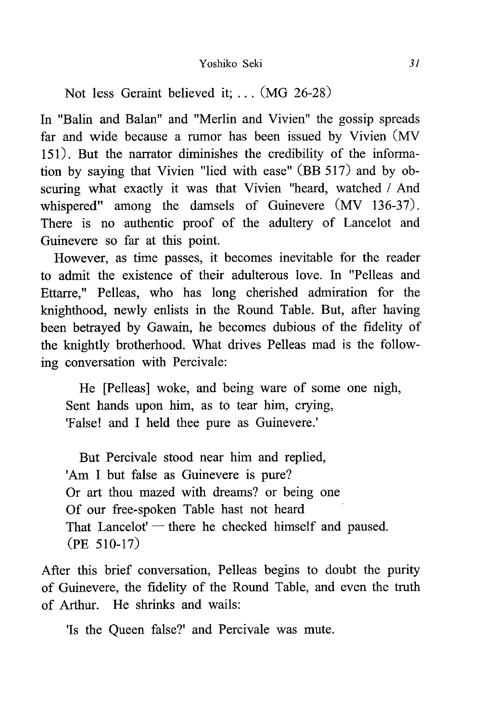Not less Geraint believed it; .. . (MG 26-28)

In "Balin and Balan" and "Merlin and Vivien" the gossip spreads far and wide because a rumor has been issued by Vivien (MV 151). But the narrator diminishes the credibility of the information by saying that Vivien "lied with ease" (BB 517) and by obscuring what exactly it was that Vivien "heard, watched / And whispered" among the damsels of Guinevere (MV 136-37). There is no authentic proof of the adultery of Lancelot and Guinevere so far at this point.

However, as time passes, it becomes inevitable for the reader to admit the existence of their adulterous love. In "Pelleas and Ettarre," Pelleas, who has long cherished admiration for the knighthood, newly enlists in the Round Table. But, after having been betrayed by Gawain, he becomes dubious of the fidelity of the knightly brotherhood. What drives Pelleas mad is the following conversation with Percivale:

He [Pelleas] woke, and being ware of some one nigh, Sent hands upon him, as to tear him, crying, 'False! and I held thee pure as Guinevere .'

But Percivale stood near him and replied, 'Am I but false as Guinevere is pure? Or art thou mazed with dreams? or being one Of our free-spoken Table hast not heard That Lancelot' — there he checked himself and paused. (PE 510-17)

After this brief conversation, Pelleas begins to doubt the purity of Guinevere, the fidelity of the Round Table, and even the truth of Arthur. He shrinks and wails:

'Is the Queen false?' and Percivale was mute .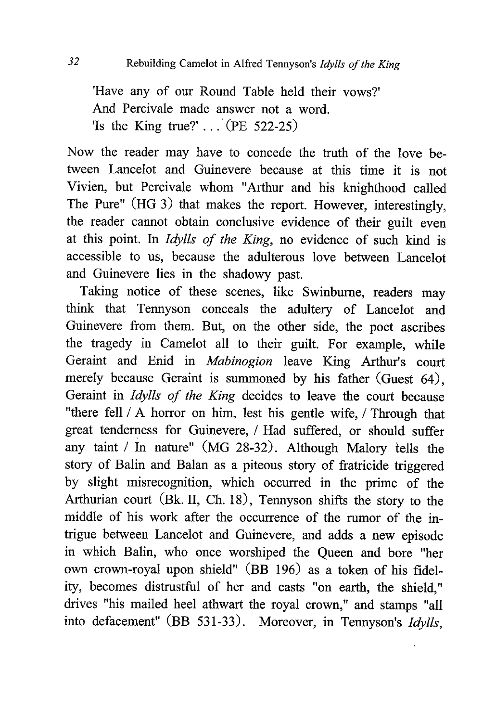'Have any of our Round Table held their vows?' And Percivale made answer not a word. 'Is the King true?' . . . (PE 522-25)

Now the reader may have to concede the truth of the love between Lancelot and Guinevere because at this time it is not Vivien, but Percivale whom "Arthur and his knighthood called The Pure" (HG 3) that makes the report. However, interestingly, the reader cannot obtain conclusive evidence of their guilt even at this point. In Idylls of the King, no evidence of such kind is accessible to us, because the adulterous love between Lancelot and Guinevere lies in the shadowy past.

Taking notice of these scenes, like Swinburne, readers may think that Tennyson conceals the adultery of Lancelot and Guinevere from them. But, on the other side, the poet ascribes the tragedy in Camelot all to their guilt. For example, while Geraint and Enid in Mabinogion leave King Arthur's court merely because Geraint is summoned by his father (Guest 64), Geraint in Idylls of the King decides to leave the court because "there fell / A horror on him, lest his gentle wife, / Through that great tenderness for Guinevere, / Had suffered, or should suffer any taint / In nature" (MG 28-32). Although Malory tells the story of Balin and Balan as a piteous story of fratricide triggered by slight misrecognition, which occurred in the prime of the Arthurian court (Bk. II, Ch. 18), Tennyson shifts the story to the middle of his work after the occurrence of the rumor of the intrigue between Lancelot and Guinevere, and adds a new episode in which Balin, who once worshiped the Queen and bore "her own crown-royal upon shield" (BB 196) as a token of his fidelity, becomes distrustful of her and casts "on earth, the shield," drives "his mailed heel athwart the royal crown," and stamps "all into defacement" (BB 531-33). Moreover, in Tennyson's Idylls,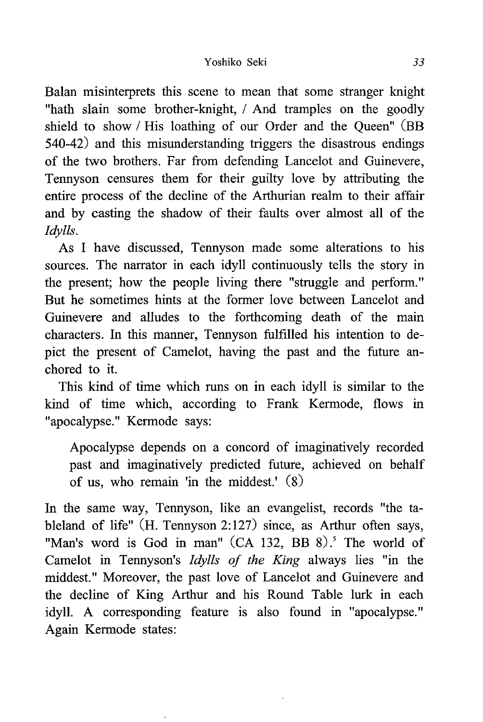Balan misinterprets this scene to mean that some stranger knight "hath slain some brother-knight, / And tramples on the goodly shield to show / His loathing of our Order and the Queen" (BB 540-42) and this misunderstanding triggers the disastrous endings of the two brothers. Far from defending Lancelot and Guinevere, Tennyson censures them for their guilty love by attributing the entire process of the decline of the Arthurian realm to their affair and by casting the shadow of their faults over almost all of the Idylls.

As I have discussed, Tennyson made some alterations to his sources. The narrator in each idyll continuously tells the story in the present; how the people living there "struggle and perform." But he sometimes hints at the former love between Lancelot and Guinevere and alludes to the forthcoming death of the main characters. In this manner, Tennyson fulfilled his intention to depict the present of Camelot, having the past and the future anchored to it.

This kind of time which runs on in each idyll is similar to the kind of time which, according to Frank Kermode, flows in "apocalypse." Kermode says:

Apocalypse depends on a concord of imaginatively recorded past and imaginatively predicted future, achieved on behalf of us, who remain 'in the middest.' (8)

In the same way, Tennyson, like an evangelist, records "the tableland of life" (H. Tennyson 2:127) since, as Arthur often says, "Man's word is God in man" (CA 132, BB 8).<sup>5</sup> The world of Camelot in Tennyson's Idylls of the King always lies "in the middest." Moreover, the past love of Lancelot and Guinevere and the decline of King Arthur and his Round Table lurk in each idyll. A corresponding feature is also found in "apocalypse." Again Kermode states: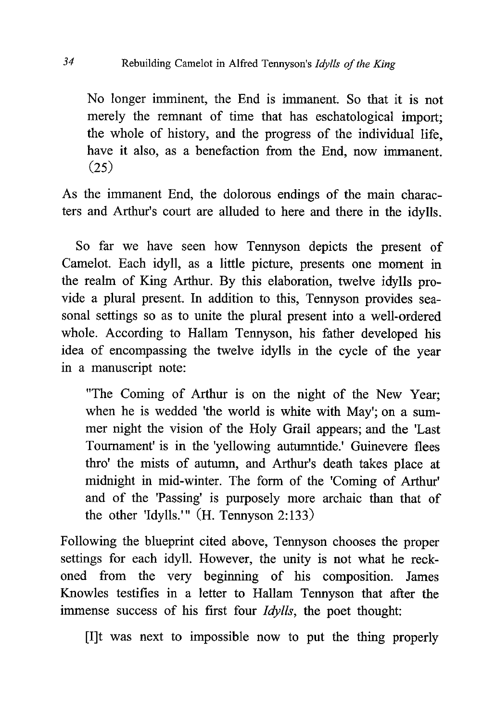No longer imminent, the End is immanent. So that it is not merely the remnant of time that has eschatological import; the whole of history, and the progress of the individual life, have it also, as a benefaction from the End, now immanent. (25)

As the immanent End, the dolorous endings of the main characters and Arthur's court are alluded to here and there in the idylls.

So far we have seen how Tennyson depicts the present of Camelot. Each idyll, as a little picture, presents one moment in the realm of King Arthur. By this elaboration, twelve idylls provide a plural present. In addition to this, Tennyson provides seasonal settings so as to unite the plural present into a well-ordered whole. According to Hallam Tennyson, his father developed his idea of encompassing the twelve idylls in the cycle of the year in a manuscript note:

"The Coming of Arthur is on the night of the New Year; when he is wedded 'the world is white with May'; on a summer night the vision of the Holy Grail appears; and the 'Last Tournament' is in the 'yellowing autumntide.' Guinevere flees thro' the mists of autumn, and Arthur's death takes place at midnight in mid-winter. The form of the 'Coming of Arthur' and of the 'Passing' is purposely more archaic than that of the other 'Idylls." (H. Tennyson 2:133)

Following the blueprint cited above, Tennyson chooses the proper settings for each idyll. However, the unity is not what he reckoned from the very beginning of his composition. James Knowles testifies in a letter to Hallam Tennyson that after the immense success of his first four Idylls, the poet thought:

[I]t was next to impossible now to put the thing properly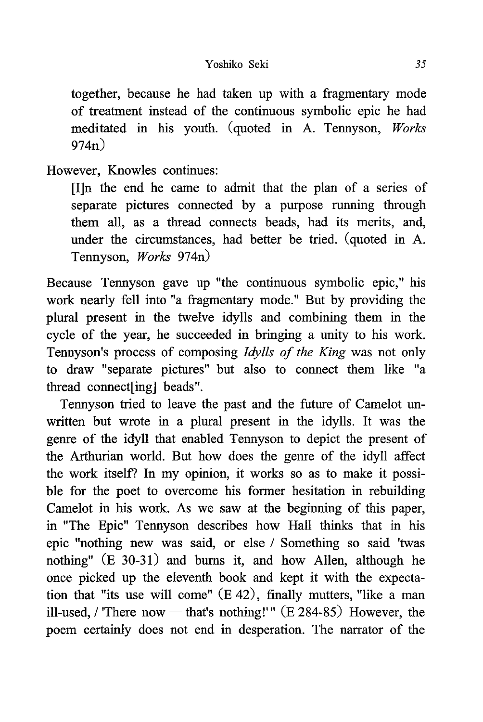together, because he had taken up with a fragmentary mode of treatment instead of the continuous symbolic epic he had meditated in his youth. (quoted in A. Tennyson, Works  $974n$ 

However, Knowles continues:

[I]n the end he came to admit that the plan of a series of separate pictures connected by a purpose running through them all, as a thread connects beads, had its merits, and, under the circumstances, had better be tried. (quoted in A. Tennyson, Works 974n)

Because Tennyson gave up "the continuous symbolic epic," his work nearly fell into "a fragmentary mode." But by providing the plural present in the twelve idylls and combining them in the cycle of the year, he succeeded in bringing a unity to his work. Tennyson's process of composing Idylls of the King was not only to draw "separate pictures" but also to connect them like "a thread connect[ing] beads".

Tennyson tried to leave the past and the future of Camelot unwritten but wrote in a plural present in the idylls. It was the genre of the idyll that enabled Tennyson to depict the present of the Arthurian world. But how does the genre of the idyll affect the work itself? In my opinion, it works so as to make it possible for the poet to overcome his former hesitation in rebuilding Camelot in his work. As we saw at the beginning of this paper, in "The Epic" Tennyson describes how Hall thinks that in his epic "nothing new was said, or else / Something so said 'twas nothing" (E 30-31) and bums it, and how Allen, although he once picked up the eleventh book and kept it with the expectation that "its use will come" (E 42), finally mutters, "like a man ill-used, / 'There now — that's nothing!'"  $(E 284-85)$  However, the poem certainly does not end in desperation. The narrator of the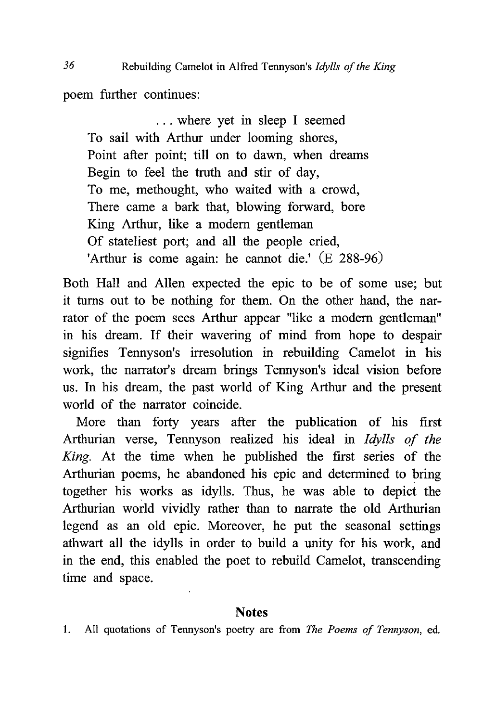poem further continues:

 ... where yet in sleep I seemed To sail with Arthur under looming shores, Point after point; till on to dawn, when dreams Begin to feel the truth and stir of day, To me, methought, who waited with a crowd, There came a bark that, blowing forward, bore King Arthur, like a modern gentleman Of stateliest port; and all the people cried, 'Arthur is come again: he cannot die.'  $(E 288-96)$ 

Both Hall and Allen expected the epic to be of some use; but it turns out to be nothing for them. On the other hand, the narrator of the poem sees Arthur appear "like a modem gentleman" in his dream. If their wavering of mind from hope to despair signifies Tennyson's irresolution in rebuilding Camelot in his work, the narrator's dream brings Tennyson's ideal vision before us. In his dream, the past world of King Arthur and the present world of the narrator coincide.

More than forty years after the publication of his first Arthurian verse, Tennyson realized his ideal in Idylls of the King. At the time when he published the first series of the Arthurian poems, he abandoned his epic and determined to bring together his works as idylls. Thus, he was able to depict the Arthurian world vividly rather than to narrate the old Arthurian legend as an old epic. Moreover, he put the seasonal settings athwart all the idylls in order to build a unity for his work, and in the end, this enabled the poet to rebuild Camelot, transcending time and space.

### Notes

1. All quotations of Tennyson's poetry are from The Poems of Tennyson, ed.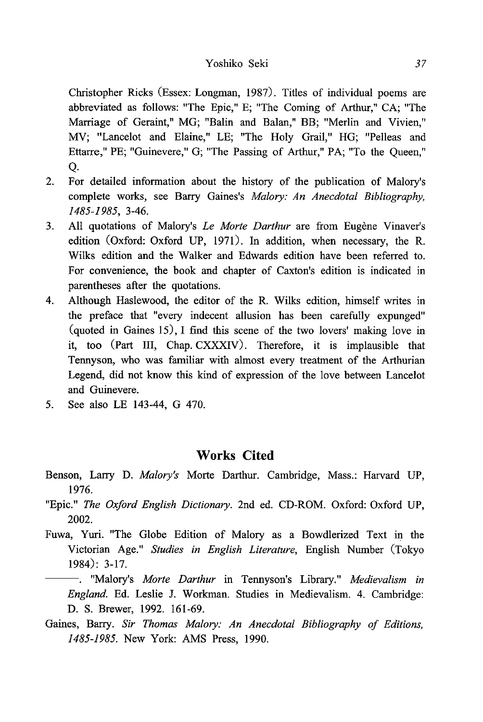Christopher Ricks (Essex: Longman, 1987). Titles of individual poems are abbreviated as follows: "The Epic," E; "The Coming of Arthur," CA; "The Marriage of Geraint," MG; "Balin and Balan," BB; "Merlin and Vivien," MV; "Lancelot and Elaine," LE; "The Holy Grail," HG; "Pelleas and Ettarre," PE; "Guinevere," G; "The Passing of Arthur," PA; "To the Queen," Q.

- 2. For detailed information about the history of the publication of Malory's complete works, see Barry Gaines's Malory: An Anecdotal Bibliography, 1485-1985, 3-46.
- 3. All quotations of Malory's Le Morte Darthur are from Eugène Vinaver's edition (Oxford: Oxford UP, 1971). In addition, when necessary, the R. Wilks edition and the Walker and Edwards edition have been referred to. For convenience, the book and chapter of Caxton's edition is indicated in parentheses after the quotations.
- 4. Although Haslewood, the editor of the R. Wilks edition, himself writes in the preface that "every indecent allusion has been carefully expunged" (quoted in Gaines 15), I find this scene of the two lovers' making love in it, too (Part III, Chap. CXXXIV). Therefore, it is implausible that Tennyson, who was familiar with almost every treatment of the Arthurian Legend, did not know this kind of expression of the love between Lancelot and Guinevere.
- 5. See also LE 143-44, G 470.

## Works Cited

- Benson, Larry D. Malory's Morte Darthur. Cambridge, Mass.: Harvard UP, 1976.
- "Epic." The Oxford English Dictionary. 2nd ed. CD-ROM. Oxford: Oxford UP, 2002.
- Fuwa, Yuri. "The Globe Edition of Malory as a Bowdlerized Text in the Victorian Age." Studies in English Literature, English Number (Tokyo 1984): 3-17.

. "Malory's *Morte Darthur* in Tennyson's Library." *Medievalism in* England. Ed. Leslie J. Workman. Studies in Medievalism. 4. Cambridge: D. S. Brewer, 1992. 161-69.

Gaines, Barry. Sir Thomas Malory: An Anecdotal Bibliography of Editions, 1485-1985. New York: AMS Press, 1990.